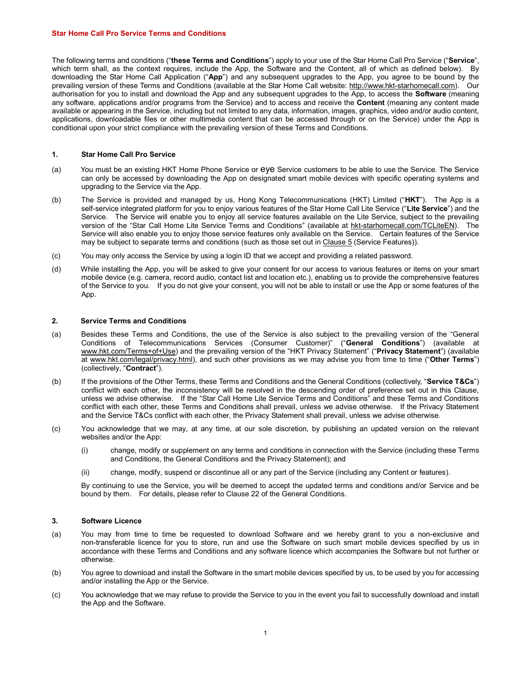#### Star Home Call Pro Service Terms and Conditions

The following terms and conditions ("these Terms and Conditions") apply to your use of the Star Home Call Pro Service ("Service", which term shall, as the context requires, include the App, the Software and the Content, all of which as defined below). By downloading the Star Home Call Application ("App") and any subsequent upgrades to the App, you agree to be bound by the prevailing version of these Terms and Conditions (available at the Star Home Call website: http://www.hkt-starhomecall.com). Our authorisation for you to install and download the App and any subsequent upgrades to the App, to access the **Software** (meaning any software, applications and/or programs from the Service) and to access and receive the **Content** (meaning any content made available or appearing in the Service, including but not limited to any data, information, images, graphics, video and/or audio content, applications, downloadable files or other multimedia content that can be accessed through or on the Service) under the App is conditional upon your strict compliance with the prevailing version of these Terms and Conditions.

#### 1. Star Home Call Pro Service

- (a) You must be an existing HKT Home Phone Service or eye Service customers to be able to use the Service. The Service can only be accessed by downloading the App on designated smart mobile devices with specific operating systems and upgrading to the Service via the App.
- (b) The Service is provided and managed by us, Hong Kong Telecommunications (HKT) Limited ("HKT"). The App is a self-service integrated platform for you to enjoy various features of the Star Home Call Lite Service ("Lite Service") and the Service. The Service will enable you to enjoy all service features available on the Lite Service, subject to the prevailing version of the "Star Call Home Lite Service Terms and Conditions" (available at hkt-starhomecall.com/TCLiteEN). The Service will also enable you to enjoy those service features only available on the Service. Certain features of the Service may be subject to separate terms and conditions (such as those set out in Clause 5 (Service Features)).
- (c) You may only access the Service by using a login ID that we accept and providing a related password.
- (d) While installing the App, you will be asked to give your consent for our access to various features or items on your smart mobile device (e.g. camera, record audio, contact list and location etc.), enabling us to provide the comprehensive features of the Service to you. If you do not give your consent, you will not be able to install or use the App or some features of the App.

### 2. Service Terms and Conditions

- (a) Besides these Terms and Conditions, the use of the Service is also subject to the prevailing version of the "General Conditions of Telecommunications Services (Consumer Customer)" ("General Conditions") (available at www.hkt.com/Terms+of+Use) and the prevailing version of the "HKT Privacy Statement" ("Privacy Statement") (available at www.hkt.com/legal/privacy.html), and such other provisions as we may advise you from time to time ("Other Terms") (collectively, "Contract").
- (b) If the provisions of the Other Terms, these Terms and Conditions and the General Conditions (collectively, "Service T&Cs") conflict with each other, the inconsistency will be resolved in the descending order of preference set out in this Clause, unless we advise otherwise. If the "Star Call Home Lite Service Terms and Conditions" and these Terms and Conditions conflict with each other, these Terms and Conditions shall prevail, unless we advise otherwise. If the Privacy Statement and the Service T&Cs conflict with each other, the Privacy Statement shall prevail, unless we advise otherwise.
- (c) You acknowledge that we may, at any time, at our sole discretion, by publishing an updated version on the relevant websites and/or the App:
	- (i) change, modify or supplement on any terms and conditions in connection with the Service (including these Terms and Conditions, the General Conditions and the Privacy Statement); and
	- (ii) change, modify, suspend or discontinue all or any part of the Service (including any Content or features).

By continuing to use the Service, you will be deemed to accept the updated terms and conditions and/or Service and be bound by them. For details, please refer to Clause 22 of the General Conditions.

## 3. Software Licence

- (a) You may from time to time be requested to download Software and we hereby grant to you a non-exclusive and non-transferable licence for you to store, run and use the Software on such smart mobile devices specified by us in accordance with these Terms and Conditions and any software licence which accompanies the Software but not further or otherwise.
- (b) You agree to download and install the Software in the smart mobile devices specified by us, to be used by you for accessing and/or installing the App or the Service.
- (c) You acknowledge that we may refuse to provide the Service to you in the event you fail to successfully download and install the App and the Software.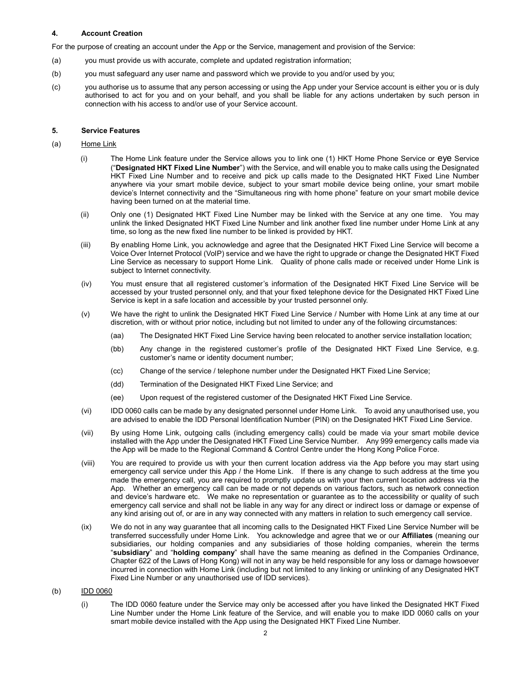# 4. Account Creation

For the purpose of creating an account under the App or the Service, management and provision of the Service:

- (a) you must provide us with accurate, complete and updated registration information;
- (b) you must safeguard any user name and password which we provide to you and/or used by you;
- (c) you authorise us to assume that any person accessing or using the App under your Service account is either you or is duly authorised to act for you and on your behalf, and you shall be liable for any actions undertaken by such person in connection with his access to and/or use of your Service account.

## 5. Service Features

## (a) Home Link

- (i) The Home Link feature under the Service allows you to link one (1) HKT Home Phone Service or eye Service ("Designated HKT Fixed Line Number") with the Service, and will enable you to make calls using the Designated HKT Fixed Line Number and to receive and pick up calls made to the Designated HKT Fixed Line Number anywhere via your smart mobile device, subject to your smart mobile device being online, your smart mobile device's Internet connectivity and the "Simultaneous ring with home phone" feature on your smart mobile device having been turned on at the material time.
- (ii) Only one (1) Designated HKT Fixed Line Number may be linked with the Service at any one time. You may unlink the linked Designated HKT Fixed Line Number and link another fixed line number under Home Link at any time, so long as the new fixed line number to be linked is provided by HKT.
- (iii) By enabling Home Link, you acknowledge and agree that the Designated HKT Fixed Line Service will become a Voice Over Internet Protocol (VoIP) service and we have the right to upgrade or change the Designated HKT Fixed Line Service as necessary to support Home Link. Quality of phone calls made or received under Home Link is subject to Internet connectivity.
- (iv) You must ensure that all registered customer's information of the Designated HKT Fixed Line Service will be accessed by your trusted personnel only, and that your fixed telephone device for the Designated HKT Fixed Line Service is kept in a safe location and accessible by your trusted personnel only.
- (v) We have the right to unlink the Designated HKT Fixed Line Service / Number with Home Link at any time at our discretion, with or without prior notice, including but not limited to under any of the following circumstances:
	- (aa) The Designated HKT Fixed Line Service having been relocated to another service installation location;
	- (bb) Any change in the registered customer's profile of the Designated HKT Fixed Line Service, e.g. customer's name or identity document number;
	- (cc) Change of the service / telephone number under the Designated HKT Fixed Line Service;
	- (dd) Termination of the Designated HKT Fixed Line Service; and
	- (ee) Upon request of the registered customer of the Designated HKT Fixed Line Service.
- (vi) IDD 0060 calls can be made by any designated personnel under Home Link. To avoid any unauthorised use, you are advised to enable the IDD Personal Identification Number (PIN) on the Designated HKT Fixed Line Service.
- (vii) By using Home Link, outgoing calls (including emergency calls) could be made via your smart mobile device installed with the App under the Designated HKT Fixed Line Service Number. Any 999 emergency calls made via the App will be made to the Regional Command & Control Centre under the Hong Kong Police Force.
- (viii) You are required to provide us with your then current location address via the App before you may start using emergency call service under this App / the Home Link. If there is any change to such address at the time you made the emergency call, you are required to promptly update us with your then current location address via the App. Whether an emergency call can be made or not depends on various factors, such as network connection and device's hardware etc. We make no representation or guarantee as to the accessibility or quality of such emergency call service and shall not be liable in any way for any direct or indirect loss or damage or expense of any kind arising out of, or are in any way connected with any matters in relation to such emergency call service.
- (ix) We do not in any way guarantee that all incoming calls to the Designated HKT Fixed Line Service Number will be transferred successfully under Home Link. You acknowledge and agree that we or our Affiliates (meaning our subsidiaries, our holding companies and any subsidiaries of those holding companies, wherein the terms "subsidiary" and "holding company" shall have the same meaning as defined in the Companies Ordinance, Chapter 622 of the Laws of Hong Kong) will not in any way be held responsible for any loss or damage howsoever incurred in connection with Home Link (including but not limited to any linking or unlinking of any Designated HKT Fixed Line Number or any unauthorised use of IDD services).

## (b) IDD 0060

(i) The IDD 0060 feature under the Service may only be accessed after you have linked the Designated HKT Fixed Line Number under the Home Link feature of the Service, and will enable you to make IDD 0060 calls on your smart mobile device installed with the App using the Designated HKT Fixed Line Number.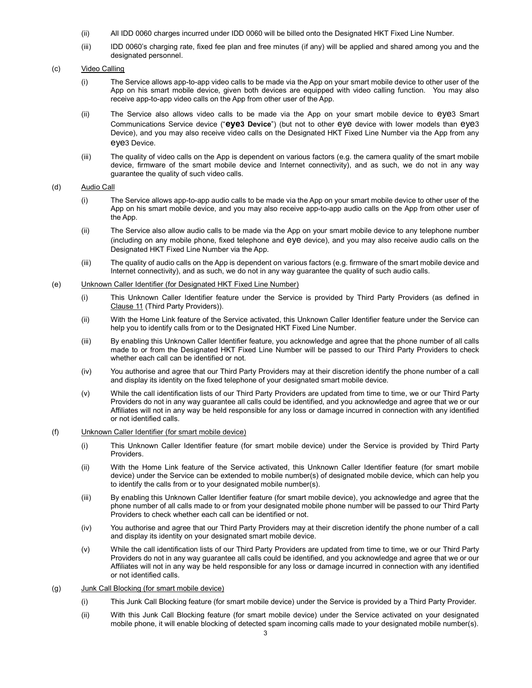- (ii) All IDD 0060 charges incurred under IDD 0060 will be billed onto the Designated HKT Fixed Line Number.
- (iii) IDD 0060's charging rate, fixed fee plan and free minutes (if any) will be applied and shared among you and the designated personnel.

## (c) Video Calling

- (i) The Service allows app-to-app video calls to be made via the App on your smart mobile device to other user of the App on his smart mobile device, given both devices are equipped with video calling function. You may also receive app-to-app video calls on the App from other user of the App.
- (ii) The Service also allows video calls to be made via the App on your smart mobile device to eye3 Smart Communications Service device ("eye3 Device") (but not to other eye device with lower models than eye3 Device), and you may also receive video calls on the Designated HKT Fixed Line Number via the App from any eye3 Device.
- (iii) The quality of video calls on the App is dependent on various factors (e.g. the camera quality of the smart mobile device, firmware of the smart mobile device and Internet connectivity), and as such, we do not in any way guarantee the quality of such video calls.

# (d) Audio Call

- (i) The Service allows app-to-app audio calls to be made via the App on your smart mobile device to other user of the App on his smart mobile device, and you may also receive app-to-app audio calls on the App from other user of the App.
- (ii) The Service also allow audio calls to be made via the App on your smart mobile device to any telephone number (including on any mobile phone, fixed telephone and eye device), and you may also receive audio calls on the Designated HKT Fixed Line Number via the App.
- (iii) The quality of audio calls on the App is dependent on various factors (e.g. firmware of the smart mobile device and Internet connectivity), and as such, we do not in any way guarantee the quality of such audio calls.

## (e) Unknown Caller Identifier (for Designated HKT Fixed Line Number)

- (i) This Unknown Caller Identifier feature under the Service is provided by Third Party Providers (as defined in Clause 11 (Third Party Providers)).
- (ii) With the Home Link feature of the Service activated, this Unknown Caller Identifier feature under the Service can help you to identify calls from or to the Designated HKT Fixed Line Number.
- (iii) By enabling this Unknown Caller Identifier feature, you acknowledge and agree that the phone number of all calls made to or from the Designated HKT Fixed Line Number will be passed to our Third Party Providers to check whether each call can be identified or not.
- (iv) You authorise and agree that our Third Party Providers may at their discretion identify the phone number of a call and display its identity on the fixed telephone of your designated smart mobile device.
- (v) While the call identification lists of our Third Party Providers are updated from time to time, we or our Third Party Providers do not in any way guarantee all calls could be identified, and you acknowledge and agree that we or our Affiliates will not in any way be held responsible for any loss or damage incurred in connection with any identified or not identified calls.
- (f) Unknown Caller Identifier (for smart mobile device)
	- (i) This Unknown Caller Identifier feature (for smart mobile device) under the Service is provided by Third Party Providers.
	- (ii) With the Home Link feature of the Service activated, this Unknown Caller Identifier feature (for smart mobile device) under the Service can be extended to mobile number(s) of designated mobile device, which can help you to identify the calls from or to your designated mobile number(s).
	- (iii) By enabling this Unknown Caller Identifier feature (for smart mobile device), you acknowledge and agree that the phone number of all calls made to or from your designated mobile phone number will be passed to our Third Party Providers to check whether each call can be identified or not.
	- (iv) You authorise and agree that our Third Party Providers may at their discretion identify the phone number of a call and display its identity on your designated smart mobile device.
	- (v) While the call identification lists of our Third Party Providers are updated from time to time, we or our Third Party Providers do not in any way guarantee all calls could be identified, and you acknowledge and agree that we or our Affiliates will not in any way be held responsible for any loss or damage incurred in connection with any identified or not identified calls.
- (g) Junk Call Blocking (for smart mobile device)
	- (i) This Junk Call Blocking feature (for smart mobile device) under the Service is provided by a Third Party Provider.
	- (ii) With this Junk Call Blocking feature (for smart mobile device) under the Service activated on your designated mobile phone, it will enable blocking of detected spam incoming calls made to your designated mobile number(s).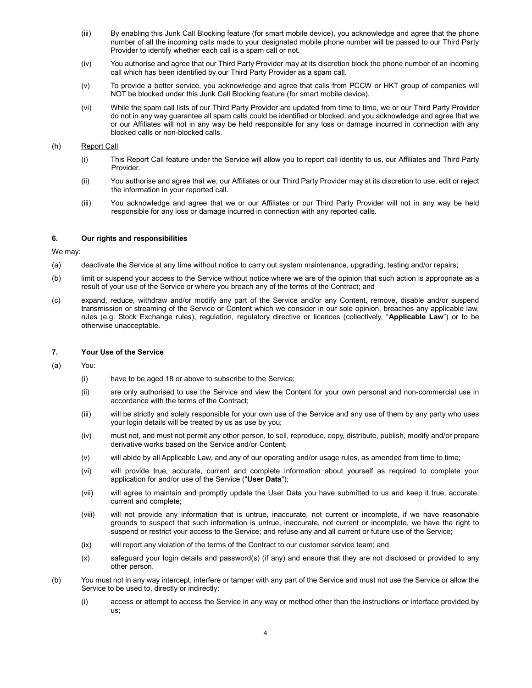- (iii) By enabling this Junk Call Blocking feature (for smart mobile device), you acknowledge and agree that the phone number of all the incoming calls made to your designated mobile phone number will be passed to our Third Party Provider to identify whether each call is a spam call or not.
- (iv) You authorise and agree that our Third Party Provider may at its discretion block the phone number of an incoming call which has been identified by our Third Party Provider as a spam call.
- (v) To provide a better service, you acknowledge and agree that calls from PCCW or HKT group of companies will NOT be blocked under this Junk Call Blocking feature (for smart mobile device).
- (vi) While the spam call lists of our Third Party Provider are updated from time to time, we or our Third Party Provider do not in any way guarantee all spam calls could be identified or blocked, and you acknowledge and agree that we or our Affiliates will not in any way be held responsible for any loss or damage incurred in connection with any blocked calls or non-blocked calls.

### (h) Report Call

- (i) This Report Call feature under the Service will allow you to report call identity to us, our Affiliates and Third Party Provider.
- (ii) You authorise and agree that we, our Affiliates or our Third Party Provider may at its discretion to use, edit or reject the information in your reported call.
- (iii) You acknowledge and agree that we or our Affiliates or our Third Party Provider will not in any way be held responsible for any loss or damage incurred in connection with any reported calls.

#### 6. Our rights and responsibilities

We may:

- (a) deactivate the Service at any time without notice to carry out system maintenance, upgrading, testing and/or repairs;
- (b) limit or suspend your access to the Service without notice where we are of the opinion that such action is appropriate as a result of your use of the Service or where you breach any of the terms of the Contract; and
- (c) expand, reduce, withdraw and/or modify any part of the Service and/or any Content, remove, disable and/or suspend transmission or streaming of the Service or Content which we consider in our sole opinion, breaches any applicable law, rules (e.g. Stock Exchange rules), regulation, regulatory directive or licences (collectively, "Applicable Law") or to be otherwise unacceptable.

#### 7. Your Use of the Service

- (a) You:
	- (i) have to be aged 18 or above to subscribe to the Service;
	- (ii) are only authorised to use the Service and view the Content for your own personal and non-commercial use in accordance with the terms of the Contract;
	- (iii) will be strictly and solely responsible for your own use of the Service and any use of them by any party who uses your login details will be treated by us as use by you;
	- (iv) must not, and must not permit any other person, to sell, reproduce, copy, distribute, publish, modify and/or prepare derivative works based on the Service and/or Content;
	- (v) will abide by all Applicable Law, and any of our operating and/or usage rules, as amended from time to time;
	- (vi) will provide true, accurate, current and complete information about yourself as required to complete your application for and/or use of the Service ("User Data");
	- (vii) will agree to maintain and promptly update the User Data you have submitted to us and keep it true, accurate, current and complete;
	- (viii) will not provide any information that is untrue, inaccurate, not current or incomplete, if we have reasonable grounds to suspect that such information is untrue, inaccurate, not current or incomplete, we have the right to suspend or restrict your access to the Service; and refuse any and all current or future use of the Service;
	- (ix) will report any violation of the terms of the Contract to our customer service team; and
	- (x) safeguard your login details and password(s) (if any) and ensure that they are not disclosed or provided to any other person.
- (b) You must not in any way intercept, interfere or tamper with any part of the Service and must not use the Service or allow the Service to be used to, directly or indirectly:
	- (i) access or attempt to access the Service in any way or method other than the instructions or interface provided by us;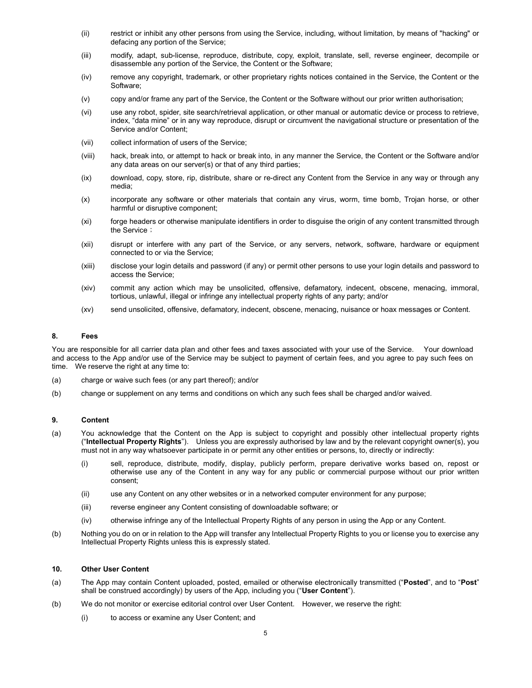- (ii) restrict or inhibit any other persons from using the Service, including, without limitation, by means of "hacking" or defacing any portion of the Service;
- (iii) modify, adapt, sub-license, reproduce, distribute, copy, exploit, translate, sell, reverse engineer, decompile or disassemble any portion of the Service, the Content or the Software;
- (iv) remove any copyright, trademark, or other proprietary rights notices contained in the Service, the Content or the Software;
- (v) copy and/or frame any part of the Service, the Content or the Software without our prior written authorisation;
- (vi) use any robot, spider, site search/retrieval application, or other manual or automatic device or process to retrieve, index, "data mine" or in any way reproduce, disrupt or circumvent the navigational structure or presentation of the Service and/or Content;
- (vii) collect information of users of the Service;
- (viii) hack, break into, or attempt to hack or break into, in any manner the Service, the Content or the Software and/or any data areas on our server(s) or that of any third parties;
- (ix) download, copy, store, rip, distribute, share or re-direct any Content from the Service in any way or through any media;
- (x) incorporate any software or other materials that contain any virus, worm, time bomb, Trojan horse, or other harmful or disruptive component;
- (xi) forge headers or otherwise manipulate identifiers in order to disguise the origin of any content transmitted through the Service;
- (xii) disrupt or interfere with any part of the Service, or any servers, network, software, hardware or equipment connected to or via the Service;
- (xiii) disclose your login details and password (if any) or permit other persons to use your login details and password to access the Service;
- (xiv) commit any action which may be unsolicited, offensive, defamatory, indecent, obscene, menacing, immoral, tortious, unlawful, illegal or infringe any intellectual property rights of any party; and/or
- (xv) send unsolicited, offensive, defamatory, indecent, obscene, menacing, nuisance or hoax messages or Content.

#### 8. Fees

You are responsible for all carrier data plan and other fees and taxes associated with your use of the Service. Your download and access to the App and/or use of the Service may be subject to payment of certain fees, and you agree to pay such fees on time. We reserve the right at any time to:

- (a) charge or waive such fees (or any part thereof); and/or
- (b) change or supplement on any terms and conditions on which any such fees shall be charged and/or waived.

## 9. Content

- (a) You acknowledge that the Content on the App is subject to copyright and possibly other intellectual property rights ("Intellectual Property Rights"). Unless you are expressly authorised by law and by the relevant copyright owner(s), you must not in any way whatsoever participate in or permit any other entities or persons, to, directly or indirectly:
	- (i) sell, reproduce, distribute, modify, display, publicly perform, prepare derivative works based on, repost or otherwise use any of the Content in any way for any public or commercial purpose without our prior written consent;
	- (ii) use any Content on any other websites or in a networked computer environment for any purpose;
	- (iii) reverse engineer any Content consisting of downloadable software; or
	- (iv) otherwise infringe any of the Intellectual Property Rights of any person in using the App or any Content.
- (b) Nothing you do on or in relation to the App will transfer any Intellectual Property Rights to you or license you to exercise any Intellectual Property Rights unless this is expressly stated.

# 10. Other User Content

- (a) The App may contain Content uploaded, posted, emailed or otherwise electronically transmitted ("Posted", and to "Post" shall be construed accordingly) by users of the App, including you ("User Content").
- (b) We do not monitor or exercise editorial control over User Content. However, we reserve the right:
	- (i) to access or examine any User Content; and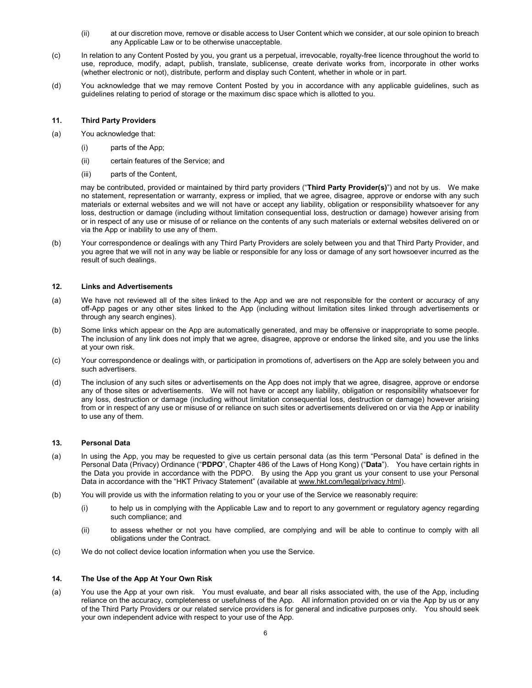- (ii) at our discretion move, remove or disable access to User Content which we consider, at our sole opinion to breach any Applicable Law or to be otherwise unacceptable.
- (c) In relation to any Content Posted by you, you grant us a perpetual, irrevocable, royalty-free licence throughout the world to use, reproduce, modify, adapt, publish, translate, sublicense, create derivate works from, incorporate in other works (whether electronic or not), distribute, perform and display such Content, whether in whole or in part.
- (d) You acknowledge that we may remove Content Posted by you in accordance with any applicable guidelines, such as guidelines relating to period of storage or the maximum disc space which is allotted to you.

### 11. Third Party Providers

- (a) You acknowledge that:
	- (i) parts of the App;
	- (ii) certain features of the Service; and
	- (iii) parts of the Content,

may be contributed, provided or maintained by third party providers ("Third Party Provider(s)") and not by us. We make no statement, representation or warranty, express or implied, that we agree, disagree, approve or endorse with any such materials or external websites and we will not have or accept any liability, obligation or responsibility whatsoever for any loss, destruction or damage (including without limitation consequential loss, destruction or damage) however arising from or in respect of any use or misuse of or reliance on the contents of any such materials or external websites delivered on or via the App or inability to use any of them.

(b) Your correspondence or dealings with any Third Party Providers are solely between you and that Third Party Provider, and you agree that we will not in any way be liable or responsible for any loss or damage of any sort howsoever incurred as the result of such dealings.

#### 12. Links and Advertisements

- (a) We have not reviewed all of the sites linked to the App and we are not responsible for the content or accuracy of any off-App pages or any other sites linked to the App (including without limitation sites linked through advertisements or through any search engines).
- (b) Some links which appear on the App are automatically generated, and may be offensive or inappropriate to some people. The inclusion of any link does not imply that we agree, disagree, approve or endorse the linked site, and you use the links at your own risk.
- (c) Your correspondence or dealings with, or participation in promotions of, advertisers on the App are solely between you and such advertisers.
- (d) The inclusion of any such sites or advertisements on the App does not imply that we agree, disagree, approve or endorse any of those sites or advertisements. We will not have or accept any liability, obligation or responsibility whatsoever for any loss, destruction or damage (including without limitation consequential loss, destruction or damage) however arising from or in respect of any use or misuse of or reliance on such sites or advertisements delivered on or via the App or inability to use any of them.

# 13. Personal Data

- (a) In using the App, you may be requested to give us certain personal data (as this term "Personal Data" is defined in the Personal Data (Privacy) Ordinance ("PDPO", Chapter 486 of the Laws of Hong Kong) ("Data"). You have certain rights in the Data you provide in accordance with the PDPO. By using the App you grant us your consent to use your Personal Data in accordance with the "HKT Privacy Statement" (available at www.hkt.com/legal/privacy.html).
- (b) You will provide us with the information relating to you or your use of the Service we reasonably require:
	- (i) to help us in complying with the Applicable Law and to report to any government or regulatory agency regarding such compliance; and
	- (ii) to assess whether or not you have complied, are complying and will be able to continue to comply with all obligations under the Contract.
- (c) We do not collect device location information when you use the Service.

## 14. The Use of the App At Your Own Risk

(a) You use the App at your own risk. You must evaluate, and bear all risks associated with, the use of the App, including reliance on the accuracy, completeness or usefulness of the App. All information provided on or via the App by us or any of the Third Party Providers or our related service providers is for general and indicative purposes only. You should seek your own independent advice with respect to your use of the App.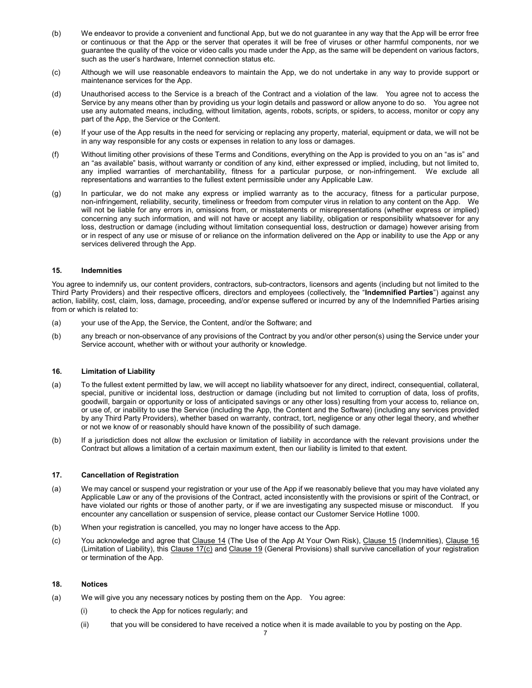- (b) We endeavor to provide a convenient and functional App, but we do not guarantee in any way that the App will be error free or continuous or that the App or the server that operates it will be free of viruses or other harmful components, nor we guarantee the quality of the voice or video calls you made under the App, as the same will be dependent on various factors, such as the user's hardware, Internet connection status etc.
- (c) Although we will use reasonable endeavors to maintain the App, we do not undertake in any way to provide support or maintenance services for the App.
- (d) Unauthorised access to the Service is a breach of the Contract and a violation of the law. You agree not to access the Service by any means other than by providing us your login details and password or allow anyone to do so. You agree not use any automated means, including, without limitation, agents, robots, scripts, or spiders, to access, monitor or copy any part of the App, the Service or the Content.
- (e) If your use of the App results in the need for servicing or replacing any property, material, equipment or data, we will not be in any way responsible for any costs or expenses in relation to any loss or damages.
- (f) Without limiting other provisions of these Terms and Conditions, everything on the App is provided to you on an "as is" and an "as available" basis, without warranty or condition of any kind, either expressed or implied, including, but not limited to, any implied warranties of merchantability, fitness for a particular purpose, or non-infringement. We exclude all representations and warranties to the fullest extent permissible under any Applicable Law.
- (g) In particular, we do not make any express or implied warranty as to the accuracy, fitness for a particular purpose, non-infringement, reliability, security, timeliness or freedom from computer virus in relation to any content on the App. We will not be liable for any errors in, omissions from, or misstatements or misrepresentations (whether express or implied) concerning any such information, and will not have or accept any liability, obligation or responsibility whatsoever for any loss, destruction or damage (including without limitation consequential loss, destruction or damage) however arising from or in respect of any use or misuse of or reliance on the information delivered on the App or inability to use the App or any services delivered through the App.

### 15. Indemnities

You agree to indemnify us, our content providers, contractors, sub-contractors, licensors and agents (including but not limited to the Third Party Providers) and their respective officers, directors and employees (collectively, the "Indemnified Parties") against any action, liability, cost, claim, loss, damage, proceeding, and/or expense suffered or incurred by any of the Indemnified Parties arising from or which is related to:

- (a) your use of the App, the Service, the Content, and/or the Software; and
- (b) any breach or non-observance of any provisions of the Contract by you and/or other person(s) using the Service under your Service account, whether with or without your authority or knowledge.

#### 16. Limitation of Liability

- (a) To the fullest extent permitted by law, we will accept no liability whatsoever for any direct, indirect, consequential, collateral, special, punitive or incidental loss, destruction or damage (including but not limited to corruption of data, loss of profits, goodwill, bargain or opportunity or loss of anticipated savings or any other loss) resulting from your access to, reliance on, or use of, or inability to use the Service (including the App, the Content and the Software) (including any services provided by any Third Party Providers), whether based on warranty, contract, tort, negligence or any other legal theory, and whether or not we know of or reasonably should have known of the possibility of such damage.
- (b) If a jurisdiction does not allow the exclusion or limitation of liability in accordance with the relevant provisions under the Contract but allows a limitation of a certain maximum extent, then our liability is limited to that extent.

#### 17. Cancellation of Registration

- (a) We may cancel or suspend your registration or your use of the App if we reasonably believe that you may have violated any Applicable Law or any of the provisions of the Contract, acted inconsistently with the provisions or spirit of the Contract, or have violated our rights or those of another party, or if we are investigating any suspected misuse or misconduct. If you encounter any cancellation or suspension of service, please contact our Customer Service Hotline 1000.
- (b) When your registration is cancelled, you may no longer have access to the App.
- (c) You acknowledge and agree that Clause 14 (The Use of the App At Your Own Risk), Clause 15 (Indemnities), Clause 16 (Limitation of Liability), this Clause 17(c) and Clause 19 (General Provisions) shall survive cancellation of your registration or termination of the App.

## 18. Notices

- (a) We will give you any necessary notices by posting them on the App. You agree:
	- (i) to check the App for notices regularly; and
	- (ii) that you will be considered to have received a notice when it is made available to you by posting on the App.